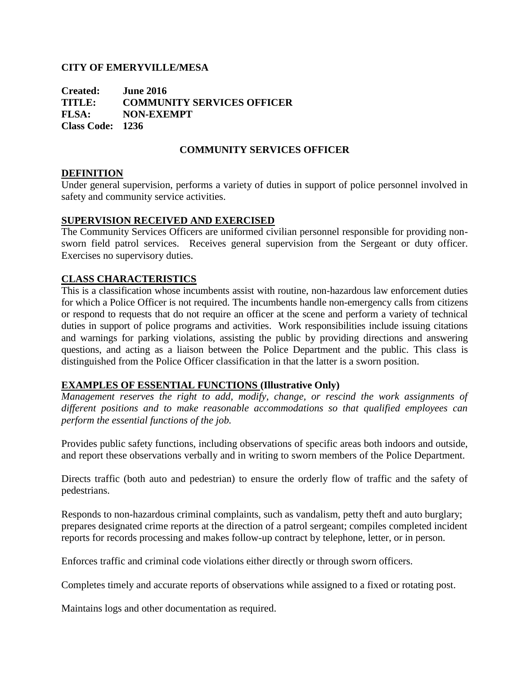### **CITY OF EMERYVILLE/MESA**

**Created: June 2016 TITLE: COMMUNITY SERVICES OFFICER FLSA: NON-EXEMPT Class Code: 1236**

## **COMMUNITY SERVICES OFFICER**

### **DEFINITION**

Under general supervision, performs a variety of duties in support of police personnel involved in safety and community service activities.

## **SUPERVISION RECEIVED AND EXERCISED**

The Community Services Officers are uniformed civilian personnel responsible for providing nonsworn field patrol services. Receives general supervision from the Sergeant or duty officer. Exercises no supervisory duties.

### **CLASS CHARACTERISTICS**

This is a classification whose incumbents assist with routine, non-hazardous law enforcement duties for which a Police Officer is not required. The incumbents handle non-emergency calls from citizens or respond to requests that do not require an officer at the scene and perform a variety of technical duties in support of police programs and activities. Work responsibilities include issuing citations and warnings for parking violations, assisting the public by providing directions and answering questions, and acting as a liaison between the Police Department and the public. This class is distinguished from the Police Officer classification in that the latter is a sworn position.

### **EXAMPLES OF ESSENTIAL FUNCTIONS (Illustrative Only)**

*Management reserves the right to add, modify, change, or rescind the work assignments of different positions and to make reasonable accommodations so that qualified employees can perform the essential functions of the job.*

Provides public safety functions, including observations of specific areas both indoors and outside, and report these observations verbally and in writing to sworn members of the Police Department.

Directs traffic (both auto and pedestrian) to ensure the orderly flow of traffic and the safety of pedestrians.

Responds to non-hazardous criminal complaints, such as vandalism, petty theft and auto burglary; prepares designated crime reports at the direction of a patrol sergeant; compiles completed incident reports for records processing and makes follow-up contract by telephone, letter, or in person.

Enforces traffic and criminal code violations either directly or through sworn officers.

Completes timely and accurate reports of observations while assigned to a fixed or rotating post.

Maintains logs and other documentation as required.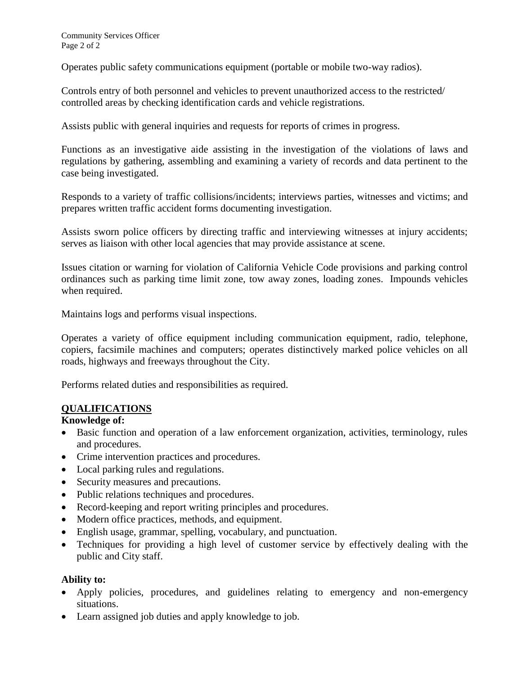Operates public safety communications equipment (portable or mobile two-way radios).

Controls entry of both personnel and vehicles to prevent unauthorized access to the restricted/ controlled areas by checking identification cards and vehicle registrations.

Assists public with general inquiries and requests for reports of crimes in progress.

Functions as an investigative aide assisting in the investigation of the violations of laws and regulations by gathering, assembling and examining a variety of records and data pertinent to the case being investigated.

Responds to a variety of traffic collisions/incidents; interviews parties, witnesses and victims; and prepares written traffic accident forms documenting investigation.

Assists sworn police officers by directing traffic and interviewing witnesses at injury accidents; serves as liaison with other local agencies that may provide assistance at scene.

Issues citation or warning for violation of California Vehicle Code provisions and parking control ordinances such as parking time limit zone, tow away zones, loading zones. Impounds vehicles when required.

Maintains logs and performs visual inspections.

Operates a variety of office equipment including communication equipment, radio, telephone, copiers, facsimile machines and computers; operates distinctively marked police vehicles on all roads, highways and freeways throughout the City.

Performs related duties and responsibilities as required.

### **QUALIFICATIONS**

#### **Knowledge of:**

- Basic function and operation of a law enforcement organization, activities, terminology, rules and procedures.
- Crime intervention practices and procedures.
- Local parking rules and regulations.
- Security measures and precautions.
- Public relations techniques and procedures.
- Record-keeping and report writing principles and procedures.
- Modern office practices, methods, and equipment.
- English usage, grammar, spelling, vocabulary, and punctuation.
- Techniques for providing a high level of customer service by effectively dealing with the public and City staff.

#### **Ability to:**

- Apply policies, procedures, and guidelines relating to emergency and non-emergency situations.
- Learn assigned job duties and apply knowledge to job.